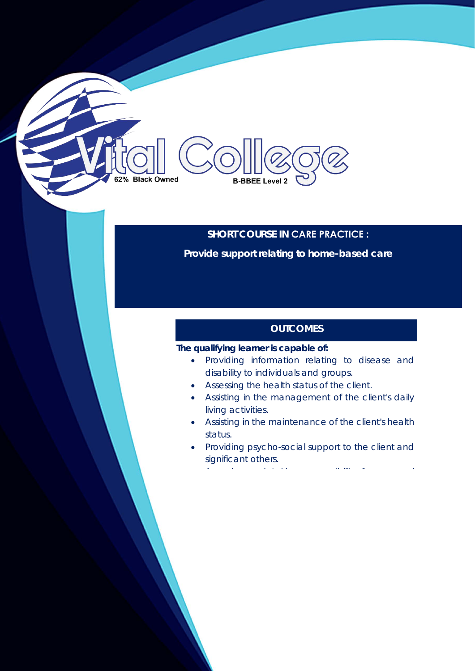# 62% Black Owned **B-BBEE Level 2**

## **SHORT COURSE IN CARE PRACTICE :**

**Provide support relating to home-based care** 

# **OUTCOMES**

## **The qualifying learner is capable of:**

- Providing information relating to disease and disability to individuals and groups.
- Assessing the health status of the client.
- Assisting in the management of the client's daily living activities.
- Assisting in the maintenance of the client's health status.
- Providing psycho-social support to the client and significant others.

A i d'an an t-aithe an t-aithe an t-aithe an an t-aithe an an t-aithe an an an t-aithe an an an t-aithe an an<br>A